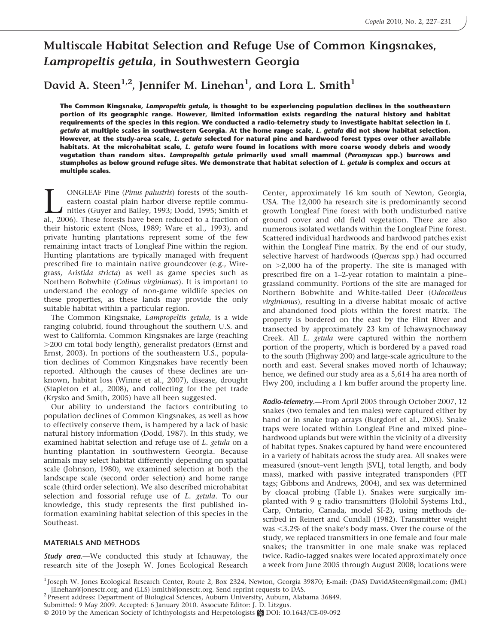# Multiscale Habitat Selection and Refuge Use of Common Kingsnakes, Lampropeltis getula, in Southwestern Georgia

David A. Steen $^{1,2}$ , Jennifer M. Linehan $^1$ , and Lora L. Smith $^1$ 

The Common Kingsnake, Lampropeltis getula, is thought to be experiencing population declines in the southeastern portion of its geographic range. However, limited information exists regarding the natural history and habitat requirements of the species in this region. We conducted a radio-telemetry study to investigate habitat selection in L. getula at multiple scales in southwestern Georgia. At the home range scale, L. getula did not show habitat selection. However, at the study-area scale, L. getula selected for natural pine and hardwood forest types over other available habitats. At the microhabitat scale, L. getula were found in locations with more coarse woody debris and woody vegetation than random sites. Lampropeltis getula primarily used small mammal (Peromyscus spp.) burrows and stumpholes as below ground refuge sites. We demonstrate that habitat selection of L. getula is complex and occurs at multiple scales.

**LEAF Pine (Pinus palustris)** forests of the south-eastern coastal plain harbor diverse reptile communities (Guyer and Bailey, 1993; Dodd, 1995; Smith et al., 2006). These forests have been reduced to a fraction of eastern coastal plain harbor diverse reptile communities (Guyer and Bailey, 1993; Dodd, 1995; Smith et al., 2006). These forests have been reduced to a fraction of their historic extent (Noss, 1989; Ware et al., 1993), and private hunting plantations represent some of the few remaining intact tracts of Longleaf Pine within the region. Hunting plantations are typically managed with frequent prescribed fire to maintain native groundcover (e.g., Wiregrass, Aristida stricta) as well as game species such as Northern Bobwhite (Colinus virginianus). It is important to understand the ecology of non-game wildlife species on these properties, as these lands may provide the only suitable habitat within a particular region.

The Common Kingsnake, Lampropeltis getula, is a wide ranging colubrid, found throughout the southern U.S. and west to California. Common Kingsnakes are large (reaching .200 cm total body length), generalist predators (Ernst and Ernst, 2003). In portions of the southeastern U.S., population declines of Common Kingsnakes have recently been reported. Although the causes of these declines are unknown, habitat loss (Winne et al., 2007), disease, drought (Stapleton et al., 2008), and collecting for the pet trade (Krysko and Smith, 2005) have all been suggested.

Our ability to understand the factors contributing to population declines of Common Kingsnakes, as well as how to effectively conserve them, is hampered by a lack of basic natural history information (Dodd, 1987). In this study, we examined habitat selection and refuge use of L. getula on a hunting plantation in southwestern Georgia. Because animals may select habitat differently depending on spatial scale (Johnson, 1980), we examined selection at both the landscape scale (second order selection) and home range scale (third order selection). We also described microhabitat selection and fossorial refuge use of L. getula. To our knowledge, this study represents the first published information examining habitat selection of this species in the Southeast.

## MATERIALS AND METHODS

**Study area.—We** conducted this study at Ichauway, the research site of the Joseph W. Jones Ecological Research

Center, approximately 16 km south of Newton, Georgia, USA. The 12,000 ha research site is predominantly second growth Longleaf Pine forest with both undisturbed native ground cover and old field vegetation. There are also numerous isolated wetlands within the Longleaf Pine forest. Scattered individual hardwoods and hardwood patches exist within the Longleaf Pine matrix. By the end of our study, selective harvest of hardwoods (Quercus spp.) had occurred on  $>2,000$  ha of the property. The site is managed with prescribed fire on a 1–2-year rotation to maintain a pine– grassland community. Portions of the site are managed for Northern Bobwhite and White-tailed Deer (Odocoileus virginianus), resulting in a diverse habitat mosaic of active and abandoned food plots within the forest matrix. The property is bordered on the east by the Flint River and transected by approximately 23 km of Ichawaynochaway Creek. All L. getula were captured within the northern portion of the property, which is bordered by a paved road to the south (Highway 200) and large-scale agriculture to the north and east. Several snakes moved north of Ichauway; hence, we defined our study area as a 5,614 ha area north of Hwy 200, including a 1 km buffer around the property line.

Radio-telemetry.—From April 2005 through October 2007, 12 snakes (two females and ten males) were captured either by hand or in snake trap arrays (Burgdorf et al., 2005). Snake traps were located within Longleaf Pine and mixed pine– hardwood uplands but were within the vicinity of a diversity of habitat types. Snakes captured by hand were encountered in a variety of habitats across the study area. All snakes were measured (snout–vent length [SVL], total length, and body mass), marked with passive integrated transponders (PIT tags; Gibbons and Andrews, 2004), and sex was determined by cloacal probing (Table 1). Snakes were surgically implanted with 9 g radio transmitters (Holohil Systems Ltd., Carp, Ontario, Canada, model SI-2), using methods described in Reinert and Cundall (1982). Transmitter weight was  $<$ 3.2% of the snake's body mass. Over the course of the study, we replaced transmitters in one female and four male snakes; the transmitter in one male snake was replaced twice. Radio-tagged snakes were located approximately once a week from June 2005 through August 2008; locations were

<sup>1</sup> Joseph W. Jones Ecological Research Center, Route 2, Box 2324, Newton, Georgia 39870; E-mail: (DAS) DavidASteen@gmail.com; (JML) jlinehan@jonesctr.org; and (LLS) lsmith@jonesctr.org. Send reprint requests to DAS. <sup>2</sup> Present address: Department of Biological Sciences, Auburn University, Auburn, Alabama 36849.

Submitted: 9 May 2009. Accepted: 6 January 2010. Associate Editor: J. D. Litzgus.

<sup>© 2010</sup> by the American Society of Ichthyologists and Herpetologists  $\frac{1}{200}$  DOI: 10.1643/CE-09-092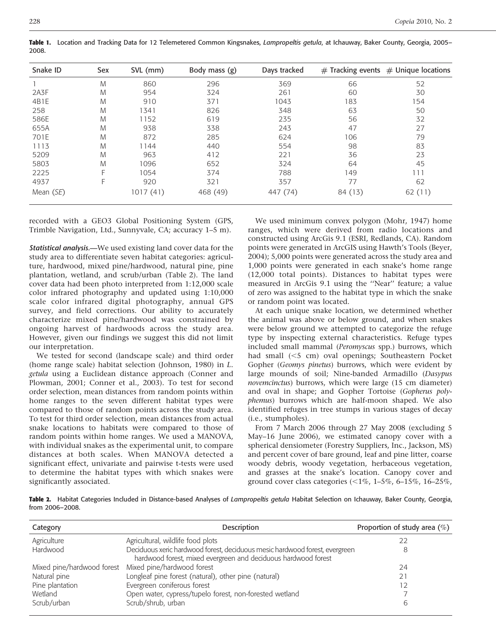| Snake ID    | Sex | SVL (mm) | Body mass $(g)$ | Days tracked |         | $#$ Tracking events $#$ Unique locations |
|-------------|-----|----------|-----------------|--------------|---------|------------------------------------------|
|             | M   | 860      | 296             | 369          | 66      | 52                                       |
| 2A3F        | M   | 954      | 324             | 261          | 60      | 30                                       |
| 4B1E        | M   | 910      | 371             | 1043         | 183     | 154                                      |
| 258         | M   | 1341     | 826             | 348          | 63      | 50                                       |
| 586E        | M   | 1152     | 619             | 235          | 56      | 32                                       |
| 655A        | M   | 938      | 338             | 243          | 47      | 27                                       |
| 701E        | M   | 872      | 285             | 624          | 106     | 79                                       |
| 1113        | M   | 1144     | 440             | 554          | 98      | 83                                       |
| 5209        | M   | 963      | 412             | 221          | 36      | 23                                       |
| 5803        | M   | 1096     | 652             | 324          | 64      | 45                                       |
| 2225        | F   | 1054     | 374             | 788          | 149     | 111                                      |
| 4937        | F   | 920      | 321             | 357          | 77      | 62                                       |
| Mean $(SE)$ |     | 1017(41) | 468 (49)        | 447 (74)     | 84 (13) | 62(11)                                   |

Table 1. Location and Tracking Data for 12 Telemetered Common Kingsnakes, Lampropeltis getula, at Ichauway, Baker County, Georgia, 2005– 2008.

recorded with a GEO3 Global Positioning System (GPS, Trimble Navigation, Ltd., Sunnyvale, CA; accuracy 1–5 m).

**Statistical analysis.—We used existing land cover data for the** study area to differentiate seven habitat categories: agriculture, hardwood, mixed pine/hardwood, natural pine, pine plantation, wetland, and scrub/urban (Table 2). The land cover data had been photo interpreted from 1:12,000 scale color infrared photography and updated using 1:10,000 scale color infrared digital photography, annual GPS survey, and field corrections. Our ability to accurately characterize mixed pine/hardwood was constrained by ongoing harvest of hardwoods across the study area. However, given our findings we suggest this did not limit our interpretation.

We tested for second (landscape scale) and third order (home range scale) habitat selection (Johnson, 1980) in L. getula using a Euclidean distance approach (Conner and Plowman, 2001; Conner et al., 2003). To test for second order selection, mean distances from random points within home ranges to the seven different habitat types were compared to those of random points across the study area. To test for third order selection, mean distances from actual snake locations to habitats were compared to those of random points within home ranges. We used a MANOVA, with individual snakes as the experimental unit, to compare distances at both scales. When MANOVA detected a significant effect, univariate and pairwise t-tests were used to determine the habitat types with which snakes were significantly associated.

We used minimum convex polygon (Mohr, 1947) home ranges, which were derived from radio locations and constructed using ArcGis 9.1 (ESRI, Redlands, CA). Random points were generated in ArcGIS using Hawth's Tools (Beyer, 2004); 5,000 points were generated across the study area and 1,000 points were generated in each snake's home range (12,000 total points). Distances to habitat types were measured in ArcGis 9.1 using the ''Near'' feature; a value of zero was assigned to the habitat type in which the snake or random point was located.

At each unique snake location, we determined whether the animal was above or below ground, and when snakes were below ground we attempted to categorize the refuge type by inspecting external characteristics. Refuge types included small mammal (Peromyscus spp.) burrows, which had small  $(<5$  cm) oval openings; Southeastern Pocket Gopher (Geomys pinetus) burrows, which were evident by large mounds of soil; Nine-banded Armadillo (Dasypus novemcinctus) burrows, which were large (15 cm diameter) and oval in shape; and Gopher Tortoise (Gopherus polyphemus) burrows which are half-moon shaped. We also identified refuges in tree stumps in various stages of decay (i.e., stumpholes).

From 7 March 2006 through 27 May 2008 (excluding 5 May–16 June 2006), we estimated canopy cover with a spherical densiometer (Forestry Suppliers, Inc., Jackson, MS) and percent cover of bare ground, leaf and pine litter, coarse woody debris, woody vegetation, herbaceous vegetation, and grasses at the snake's location. Canopy cover and ground cover class categories (<1%, 1-5%, 6-15%, 16-25%,

Table 2. Habitat Categories Included in Distance-based Analyses of Lampropeltis getula Habitat Selection on Ichauway, Baker County, Georgia, from 2006–2008.

| Category                   | <b>Description</b>                                                                                                                            | Proportion of study area $(\%)$ |
|----------------------------|-----------------------------------------------------------------------------------------------------------------------------------------------|---------------------------------|
| Agriculture                | Agricultural, wildlife food plots                                                                                                             | 22                              |
| Hardwood                   | Deciduous xeric hardwood forest, deciduous mesic hardwood forest, evergreen<br>hardwood forest, mixed evergreen and deciduous hardwood forest | 8                               |
| Mixed pine/hardwood forest | Mixed pine/hardwood forest                                                                                                                    | 24                              |
| Natural pine               | Longleaf pine forest (natural), other pine (natural)                                                                                          | 21                              |
| Pine plantation            | Evergreen coniferous forest                                                                                                                   | 12                              |
| Wetland                    | Open water, cypress/tupelo forest, non-forested wetland                                                                                       |                                 |
| Scrub/urban                | Scrub/shrub, urban                                                                                                                            | 6                               |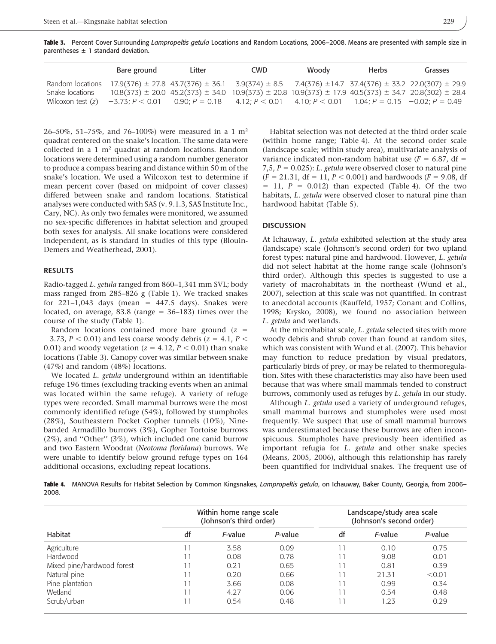Table 3. Percent Cover Surrounding Lampropeltis getula Locations and Random Locations, 2006–2008. Means are presented with sample size in parentheses  $\pm$  1 standard deviation.

|                     | Bare ground                                                                                                   | Litter                                                                                                                        | <b>CWD</b> | Woody | <b>Herbs</b> | Grasses |
|---------------------|---------------------------------------------------------------------------------------------------------------|-------------------------------------------------------------------------------------------------------------------------------|------------|-------|--------------|---------|
| Random locations    |                                                                                                               | $17.9(376) \pm 27.8$ 43.7(376) $\pm$ 36.1 3.9(374) $\pm$ 8.5 7.4(376) $\pm$ 14.7 37.4(376) $\pm$ 33.2 22.0(307) $\pm$ 29.9    |            |       |              |         |
| Snake locations     |                                                                                                               | $10.8(373) \pm 20.0$ 45.2(373) $\pm$ 34.0 10.9(373) $\pm$ 20.8 10.9(373) $\pm$ 17.9 40.5(373) $\pm$ 34.7 20.8(302) $\pm$ 28.4 |            |       |              |         |
| Wilcoxon test $(z)$ | $-3.73$ : $P < 0.01$ 0.90; $P = 0.18$ 4.12; $P < 0.01$ 4.10; $P < 0.01$ 1.04; $P = 0.15$ $-0.02$ ; $P = 0.49$ |                                                                                                                               |            |       |              |         |

26–50%, 51–75%, and 76–100%) were measured in a 1  $m<sup>2</sup>$ quadrat centered on the snake's location. The same data were collected in a 1 m2 quadrat at random locations. Random locations were determined using a random number generator to produce a compass bearing and distance within 50 m of the snake's location. We used a Wilcoxon test to determine if mean percent cover (based on midpoint of cover classes) differed between snake and random locations. Statistical analyses were conducted with SAS (v. 9.1.3, SAS Institute Inc., Cary, NC). As only two females were monitored, we assumed no sex-specific differences in habitat selection and grouped both sexes for analysis. All snake locations were considered independent, as is standard in studies of this type (Blouin-Demers and Weatherhead, 2001).

### RESULTS

Radio-tagged L. getula ranged from 860–1,341 mm SVL; body mass ranged from 285–826 g (Table 1). We tracked snakes for 221-1,043 days (mean =  $447.5$  days). Snakes were located, on average, 83.8 (range  $= 36-183$ ) times over the course of the study (Table 1).

Random locations contained more bare ground  $(z =$  $-3.73$ ,  $P < 0.01$ ) and less coarse woody debris ( $z = 4.1$ ,  $P <$ 0.01) and woody vegetation ( $z = 4.12$ ,  $P < 0.01$ ) than snake locations (Table 3). Canopy cover was similar between snake (47%) and random (48%) locations.

We located L. getula underground within an identifiable refuge 196 times (excluding tracking events when an animal was located within the same refuge). A variety of refuge types were recorded. Small mammal burrows were the most commonly identified refuge (54%), followed by stumpholes (28%), Southeastern Pocket Gopher tunnels (10%), Ninebanded Armadillo burrows (3%), Gopher Tortoise burrows (2%), and ''Other'' (3%), which included one canid burrow and two Eastern Woodrat (Neotoma floridana) burrows. We were unable to identify below ground refuge types on 164 additional occasions, excluding repeat locations.

Habitat selection was not detected at the third order scale (within home range; Table 4). At the second order scale (landscape scale; within study area), multivariate analysis of variance indicated non-random habitat use ( $F = 6.87$ , df = 7,5,  $P = 0.025$ : L. getula were observed closer to natural pine  $(F = 21.31, df = 11, P < 0.001)$  and hardwoods  $(F = 9.08, df)$  $= 11$ ,  $P = 0.012$ ) than expected (Table 4). Of the two habitats, L. getula were observed closer to natural pine than hardwood habitat (Table 5).

#### **DISCUSSION**

At Ichauway, L. *getula* exhibited selection at the study area (landscape) scale (Johnson's second order) for two upland forest types: natural pine and hardwood. However, L. getula did not select habitat at the home range scale (Johnson's third order). Although this species is suggested to use a variety of macrohabitats in the northeast (Wund et al., 2007), selection at this scale was not quantified. In contrast to anecdotal accounts (Kauffeld, 1957; Conant and Collins, 1998; Krysko, 2008), we found no association between L. getula and wetlands.

At the microhabitat scale, L. getula selected sites with more woody debris and shrub cover than found at random sites, which was consistent with Wund et al. (2007). This behavior may function to reduce predation by visual predators, particularly birds of prey, or may be related to thermoregulation. Sites with these characteristics may also have been used because that was where small mammals tended to construct burrows, commonly used as refuges by L. getula in our study.

Although L. *getula* used a variety of underground refuges, small mammal burrows and stumpholes were used most frequently. We suspect that use of small mammal burrows was underestimated because these burrows are often inconspicuous. Stumpholes have previously been identified as important refugia for L. getula and other snake species (Means, 2005, 2006), although this relationship has rarely been quantified for individual snakes. The frequent use of

Table 4. MANOVA Results for Habitat Selection by Common Kingsnakes, Lampropeltis getula, on Ichauway, Baker County, Georgia, from 2006– 2008.

|                            | Within home range scale<br>(Johnson's third order) |                 |         | Landscape/study area scale<br>(Johnson's second order) |         |         |  |
|----------------------------|----------------------------------------------------|-----------------|---------|--------------------------------------------------------|---------|---------|--|
| Habitat                    | df                                                 | <i>F</i> -value | P-value | df                                                     | F-value | P-value |  |
| Agriculture                |                                                    | 3.58            | 0.09    |                                                        | 0.10    | 0.75    |  |
| Hardwood                   |                                                    | 0.08            | 0.78    |                                                        | 9.08    | 0.01    |  |
| Mixed pine/hardwood forest |                                                    | 0.21            | 0.65    | 11                                                     | 0.81    | 0.39    |  |
| Natural pine               |                                                    | 0.20            | 0.66    | 11                                                     | 21.31   | < 0.01  |  |
| Pine plantation            |                                                    | 3.66            | 0.08    |                                                        | 0.99    | 0.34    |  |
| Wetland                    |                                                    | 4.27            | 0.06    | 11                                                     | 0.54    | 0.48    |  |
| Scrub/urban                |                                                    | 0.54            | 0.48    |                                                        | 1.23    | 0.29    |  |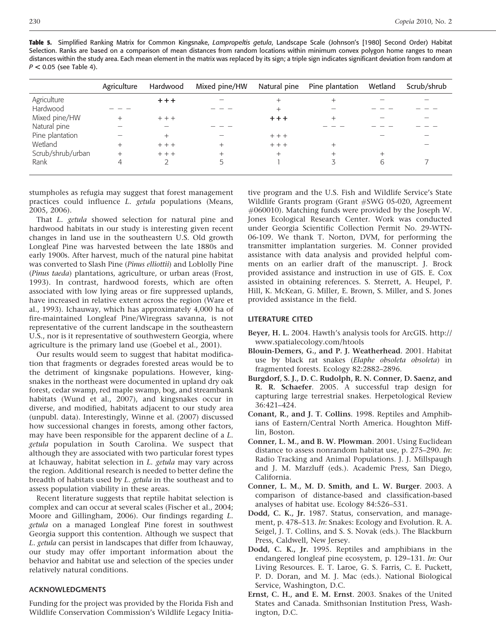Table 5. Simplified Ranking Matrix for Common Kingsnake, Lampropeltis getula, Landscape Scale (Johnson's [1980] Second Order) Habitat Selection. Ranks are based on a comparison of mean distances from random locations within minimum convex polygon home ranges to mean distances within the study area. Each mean element in the matrix was replaced by its sign; a triple sign indicates significant deviation from random at  $P < 0.05$  (see Table 4).

|                   | Agriculture | Hardwood | Mixed pine/HW | Natural pine | Pine plantation | Wetland | Scrub/shrub |
|-------------------|-------------|----------|---------------|--------------|-----------------|---------|-------------|
| Agriculture       |             | $++$     |               |              |                 |         |             |
| Hardwood          |             |          |               |              |                 |         |             |
| Mixed pine/HW     |             | $++$     |               | $+ + +$      |                 |         |             |
| Natural pine      |             |          |               |              |                 |         |             |
| Pine plantation   |             |          |               | $++$         |                 |         |             |
| Wetland           |             | $++$     |               | $++$         |                 |         |             |
| Scrub/shrub/urban |             | $+ + +$  |               | $^{+}$       |                 |         |             |
| Rank              |             | C        |               |              | 3               | 6       |             |
|                   |             |          |               |              |                 |         |             |

stumpholes as refugia may suggest that forest management practices could influence L. getula populations (Means, 2005, 2006).

That L. getula showed selection for natural pine and hardwood habitats in our study is interesting given recent changes in land use in the southeastern U.S. Old growth Longleaf Pine was harvested between the late 1880s and early 1900s. After harvest, much of the natural pine habitat was converted to Slash Pine (Pinus elliottii) and Loblolly Pine (Pinus taeda) plantations, agriculture, or urban areas (Frost, 1993). In contrast, hardwood forests, which are often associated with low lying areas or fire suppressed uplands, have increased in relative extent across the region (Ware et al., 1993). Ichauway, which has approximately 4,000 ha of fire-maintained Longleaf Pine/Wiregrass savanna, is not representative of the current landscape in the southeastern U.S., nor is it representative of southwestern Georgia, where agriculture is the primary land use (Goebel et al., 2001).

Our results would seem to suggest that habitat modification that fragments or degrades forested areas would be to the detriment of kingsnake populations. However, kingsnakes in the northeast were documented in upland dry oak forest, cedar swamp, red maple swamp, bog, and streambank habitats (Wund et al., 2007), and kingsnakes occur in diverse, and modified, habitats adjacent to our study area (unpubl. data). Interestingly, Winne et al. (2007) discussed how successional changes in forests, among other factors, may have been responsible for the apparent decline of a L. getula population in South Carolina. We suspect that although they are associated with two particular forest types at Ichauway, habitat selection in L. getula may vary across the region. Additional research is needed to better define the breadth of habitats used by L. *getula* in the southeast and to assess population viability in these areas.

Recent literature suggests that reptile habitat selection is complex and can occur at several scales (Fischer et al., 2004; Moore and Gillingham, 2006). Our findings regarding L. getula on a managed Longleaf Pine forest in southwest Georgia support this contention. Although we suspect that L. getula can persist in landscapes that differ from Ichauway, our study may offer important information about the behavior and habitat use and selection of the species under relatively natural conditions.

#### ACKNOWLEDGMENTS

Funding for the project was provided by the Florida Fish and Wildlife Conservation Commission's Wildlife Legacy Initiative program and the U.S. Fish and Wildlife Service's State Wildlife Grants program (Grant #SWG 05-020, Agreement #060010). Matching funds were provided by the Joseph W. Jones Ecological Research Center. Work was conducted under Georgia Scientific Collection Permit No. 29-WTN-06-109. We thank T. Norton, DVM, for performing the transmitter implantation surgeries. M. Conner provided assistance with data analysis and provided helpful comments on an earlier draft of the manuscript. J. Brock provided assistance and instruction in use of GIS. E. Cox assisted in obtaining references. S. Sterrett, A. Heupel, P. Hill, K. McKean, G. Miller, E. Brown, S. Miller, and S. Jones provided assistance in the field.

#### LITERATURE CITED

- Beyer, H. L. 2004. Hawth's analysis tools for ArcGIS. http:// www.spatialecology.com/htools
- Blouin-Demers, G., and P. J. Weatherhead. 2001. Habitat use by black rat snakes (Elaphe obsoleta obsoleta) in fragmented forests. Ecology 82:2882–2896.
- Burgdorf, S. J., D. C. Rudolph, R. N. Conner, D. Saenz, and R. R. Schaefer. 2005. A successful trap design for capturing large terrestrial snakes. Herpetological Review 36:421–424.
- Conant, R., and J. T. Collins. 1998. Reptiles and Amphibians of Eastern/Central North America. Houghton Mifflin, Boston.
- Conner, L. M., and B. W. Plowman. 2001. Using Euclidean distance to assess nonrandom habitat use, p. 275–290. In: Radio Tracking and Animal Populations. J. J. Millspaugh and J. M. Marzluff (eds.). Academic Press, San Diego, California.
- Conner, L. M., M. D. Smith, and L. W. Burger. 2003. A comparison of distance-based and classification-based analyses of habitat use. Ecology 84:526–531.
- Dodd, C. K., Jr. 1987. Status, conservation, and management, p. 478–513. In: Snakes: Ecology and Evolution. R. A. Seigel, J. T. Collins, and S. S. Novak (eds.). The Blackburn Press, Caldwell, New Jersey.
- Dodd, C. K., Jr. 1995. Reptiles and amphibians in the endangered longleaf pine ecosystem, p. 129–131. In: Our Living Resources. E. T. Laroe, G. S. Farris, C. E. Puckett, P. D. Doran, and M. J. Mac (eds.). National Biological Service, Washington, D.C.
- Ernst, C. H., and E. M. Ernst. 2003. Snakes of the United States and Canada. Smithsonian Institution Press, Washington, D.C.